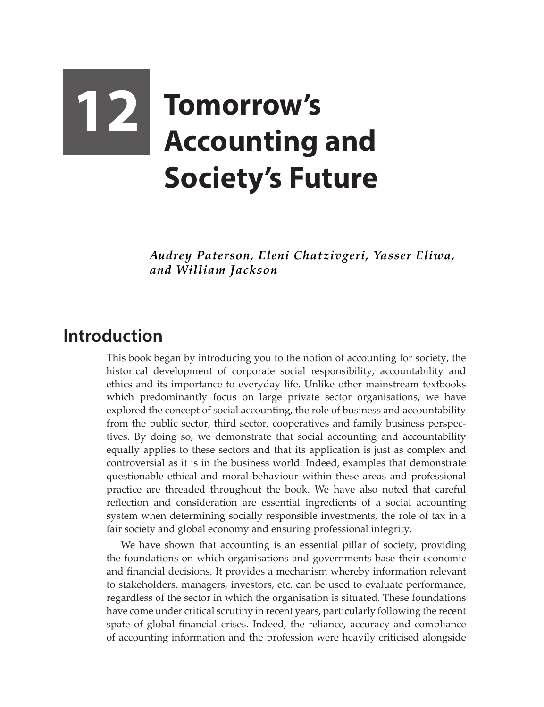## **12 Tomorrow's Accounting and Society's Future**

*Audrey Paterson, Eleni Chatzivgeri, Yasser Eliwa, and William Jackson*

## **Introduction**

This book began by introducing you to the notion of accounting for society, the historical development of corporate social responsibility, accountability and ethics and its importance to everyday life. Unlike other mainstream textbooks which predominantly focus on large private sector organisations, we have explored the concept of social accounting, the role of business and accountability from the public sector, third sector, cooperatives and family business perspectives. By doing so, we demonstrate that social accounting and accountability equally applies to these sectors and that its application is just as complex and controversial as it is in the business world. Indeed, examples that demonstrate questionable ethical and moral behaviour within these areas and professional practice are threaded throughout the book. We have also noted that careful reflection and consideration are essential ingredients of a social accounting system when determining socially responsible investments, the role of tax in a fair society and global economy and ensuring professional integrity.

We have shown that accounting is an essential pillar of society, providing the foundations on which organisations and governments base their economic and financial decisions. It provides a mechanism whereby information relevant to stakeholders, managers, investors, etc. can be used to evaluate performance, regardless of the sector in which the organisation is situated. These foundations have come under critical scrutiny in recent years, particularly following the recent spate of global financial crises. Indeed, the reliance, accuracy and compliance of accounting information and the profession were heavily criticised alongside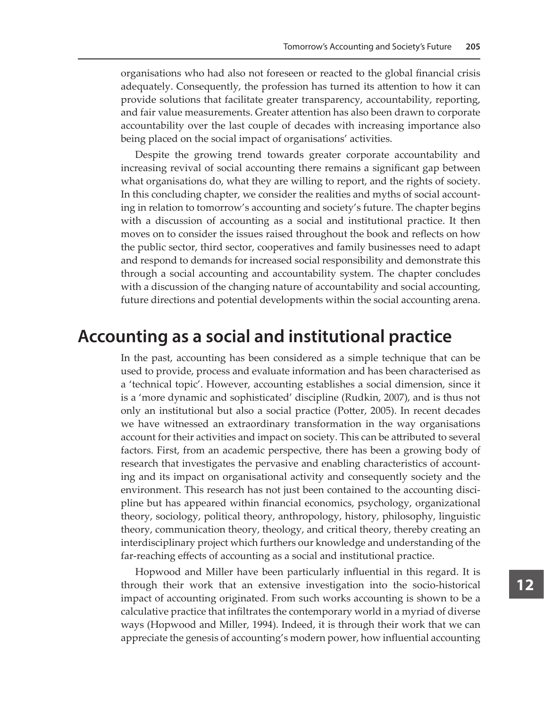organisations who had also not foreseen or reacted to the global financial crisis adequately. Consequently, the profession has turned its attention to how it can provide solutions that facilitate greater transparency, accountability, reporting, and fair value measurements. Greater attention has also been drawn to corporate accountability over the last couple of decades with increasing importance also being placed on the social impact of organisations' activities.

Despite the growing trend towards greater corporate accountability and increasing revival of social accounting there remains a significant gap between what organisations do, what they are willing to report, and the rights of society. In this concluding chapter, we consider the realities and myths of social accounting in relation to tomorrow's accounting and society's future. The chapter begins with a discussion of accounting as a social and institutional practice. It then moves on to consider the issues raised throughout the book and reflects on how the public sector, third sector, cooperatives and family businesses need to adapt and respond to demands for increased social responsibility and demonstrate this through a social accounting and accountability system. The chapter concludes with a discussion of the changing nature of accountability and social accounting, future directions and potential developments within the social accounting arena.

## **Accounting as a social and institutional practice**

In the past, accounting has been considered as a simple technique that can be used to provide, process and evaluate information and has been characterised as a 'technical topic'. However, accounting establishes a social dimension, since it is a 'more dynamic and sophisticated' discipline (Rudkin, 2007), and is thus not only an institutional but also a social practice (Potter, 2005). In recent decades we have witnessed an extraordinary transformation in the way organisations account for their activities and impact on society. This can be attributed to several factors. First, from an academic perspective, there has been a growing body of research that investigates the pervasive and enabling characteristics of accounting and its impact on organisational activity and consequently society and the environment. This research has not just been contained to the accounting discipline but has appeared within financial economics, psychology, organizational theory, sociology, political theory, anthropology, history, philosophy, linguistic theory, communication theory, theology, and critical theory, thereby creating an interdisciplinary project which furthers our knowledge and understanding of the far-reaching effects of accounting as a social and institutional practice.

Hopwood and Miller have been particularly influential in this regard. It is through their work that an extensive investigation into the socio-historical impact of accounting originated. From such works accounting is shown to be a calculative practice that infiltrates the contemporary world in a myriad of diverse ways (Hopwood and Miller, 1994). Indeed, it is through their work that we can appreciate the genesis of accounting's modern power, how influential accounting